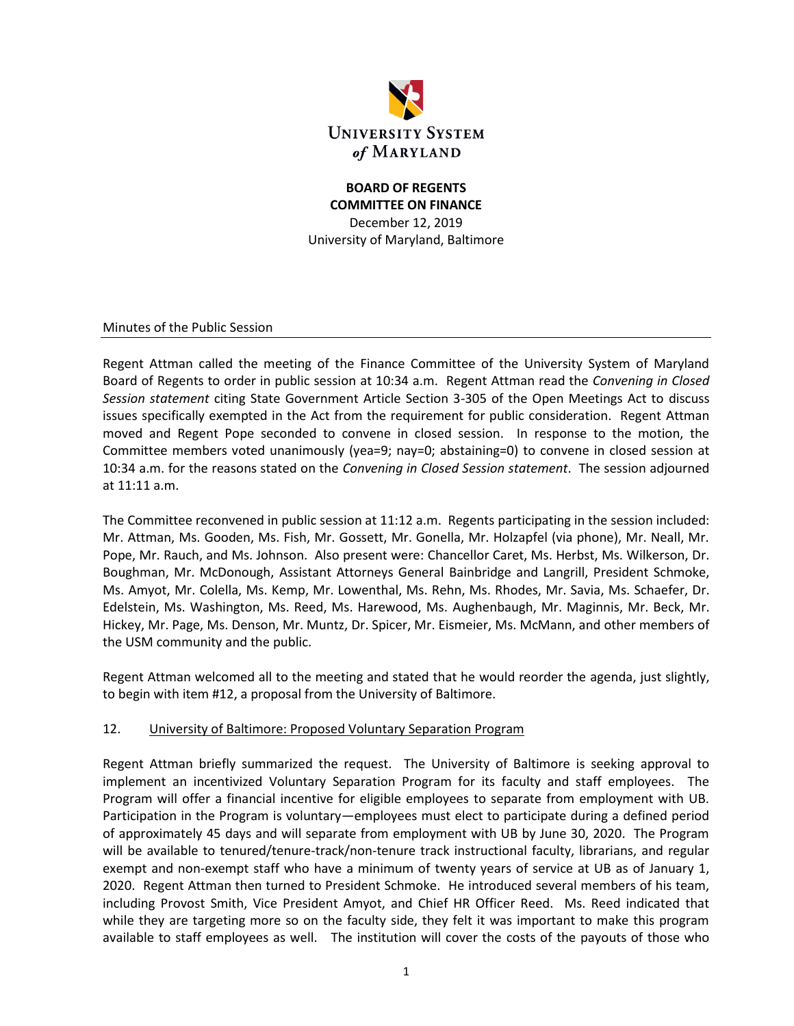

### **BOARD OF REGENTS COMMITTEE ON FINANCE** December 12, 2019 University of Maryland, Baltimore

Minutes of the Public Session

Regent Attman called the meeting of the Finance Committee of the University System of Maryland Board of Regents to order in public session at 10:34 a.m. Regent Attman read the *Convening in Closed Session statement* citing State Government Article Section 3-305 of the Open Meetings Act to discuss issues specifically exempted in the Act from the requirement for public consideration. Regent Attman moved and Regent Pope seconded to convene in closed session. In response to the motion, the Committee members voted unanimously (yea=9; nay=0; abstaining=0) to convene in closed session at 10:34 a.m. for the reasons stated on the *Convening in Closed Session statement*. The session adjourned at 11:11 a.m.

The Committee reconvened in public session at 11:12 a.m. Regents participating in the session included: Mr. Attman, Ms. Gooden, Ms. Fish, Mr. Gossett, Mr. Gonella, Mr. Holzapfel (via phone), Mr. Neall, Mr. Pope, Mr. Rauch, and Ms. Johnson. Also present were: Chancellor Caret, Ms. Herbst, Ms. Wilkerson, Dr. Boughman, Mr. McDonough, Assistant Attorneys General Bainbridge and Langrill, President Schmoke, Ms. Amyot, Mr. Colella, Ms. Kemp, Mr. Lowenthal, Ms. Rehn, Ms. Rhodes, Mr. Savia, Ms. Schaefer, Dr. Edelstein, Ms. Washington, Ms. Reed, Ms. Harewood, Ms. Aughenbaugh, Mr. Maginnis, Mr. Beck, Mr. Hickey, Mr. Page, Ms. Denson, Mr. Muntz, Dr. Spicer, Mr. Eismeier, Ms. McMann, and other members of the USM community and the public.

Regent Attman welcomed all to the meeting and stated that he would reorder the agenda, just slightly, to begin with item #12, a proposal from the University of Baltimore.

#### 12. University of Baltimore: Proposed Voluntary Separation Program

Regent Attman briefly summarized the request. The University of Baltimore is seeking approval to implement an incentivized Voluntary Separation Program for its faculty and staff employees. The Program will offer a financial incentive for eligible employees to separate from employment with UB. Participation in the Program is voluntary—employees must elect to participate during a defined period of approximately 45 days and will separate from employment with UB by June 30, 2020. The Program will be available to tenured/tenure-track/non-tenure track instructional faculty, librarians, and regular exempt and non-exempt staff who have a minimum of twenty years of service at UB as of January 1, 2020. Regent Attman then turned to President Schmoke. He introduced several members of his team, including Provost Smith, Vice President Amyot, and Chief HR Officer Reed. Ms. Reed indicated that while they are targeting more so on the faculty side, they felt it was important to make this program available to staff employees as well. The institution will cover the costs of the payouts of those who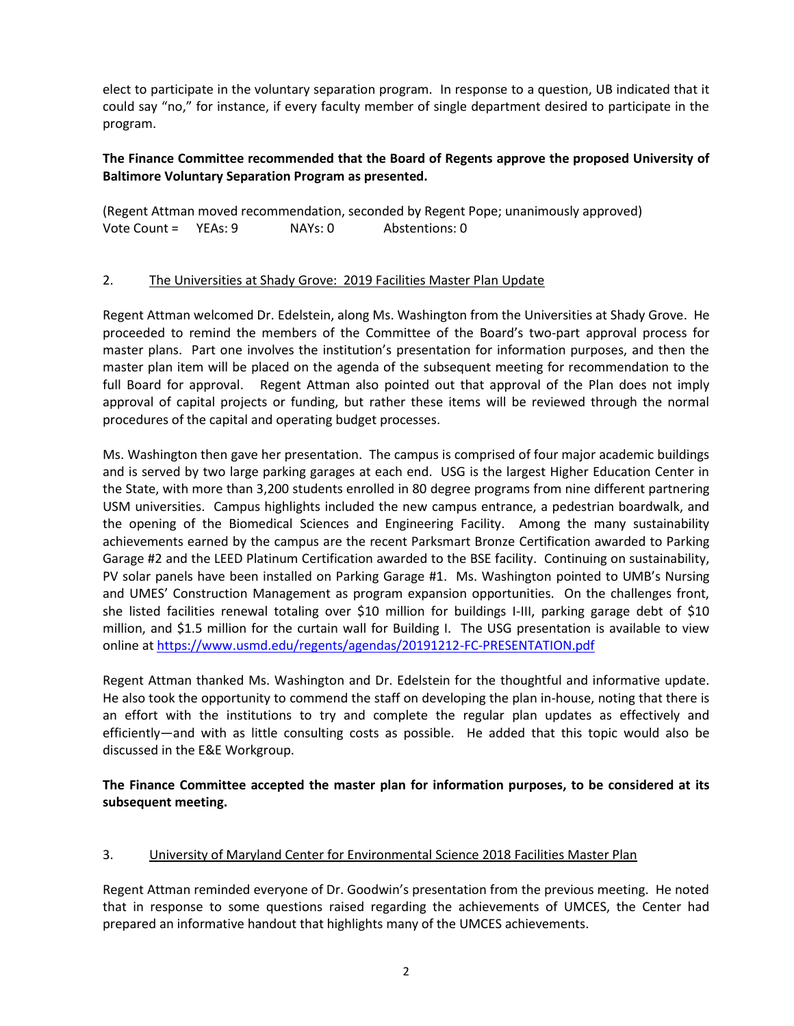elect to participate in the voluntary separation program. In response to a question, UB indicated that it could say "no," for instance, if every faculty member of single department desired to participate in the program.

### **The Finance Committee recommended that the Board of Regents approve the proposed University of Baltimore Voluntary Separation Program as presented.**

(Regent Attman moved recommendation, seconded by Regent Pope; unanimously approved) Vote Count = YEAs: 9 NAYs: 0 Abstentions: 0

### 2. The Universities at Shady Grove: 2019 Facilities Master Plan Update

Regent Attman welcomed Dr. Edelstein, along Ms. Washington from the Universities at Shady Grove. He proceeded to remind the members of the Committee of the Board's two-part approval process for master plans. Part one involves the institution's presentation for information purposes, and then the master plan item will be placed on the agenda of the subsequent meeting for recommendation to the full Board for approval. Regent Attman also pointed out that approval of the Plan does not imply approval of capital projects or funding, but rather these items will be reviewed through the normal procedures of the capital and operating budget processes.

Ms. Washington then gave her presentation. The campus is comprised of four major academic buildings and is served by two large parking garages at each end. USG is the largest Higher Education Center in the State, with more than 3,200 students enrolled in 80 degree programs from nine different partnering USM universities. Campus highlights included the new campus entrance, a pedestrian boardwalk, and the opening of the Biomedical Sciences and Engineering Facility. Among the many sustainability achievements earned by the campus are the recent Parksmart Bronze Certification awarded to Parking Garage #2 and the LEED Platinum Certification awarded to the BSE facility. Continuing on sustainability, PV solar panels have been installed on Parking Garage #1. Ms. Washington pointed to UMB's Nursing and UMES' Construction Management as program expansion opportunities. On the challenges front, she listed facilities renewal totaling over \$10 million for buildings I-III, parking garage debt of \$10 million, and \$1.5 million for the curtain wall for Building I. The USG presentation is available to view online at<https://www.usmd.edu/regents/agendas/20191212-FC-PRESENTATION.pdf>

Regent Attman thanked Ms. Washington and Dr. Edelstein for the thoughtful and informative update. He also took the opportunity to commend the staff on developing the plan in-house, noting that there is an effort with the institutions to try and complete the regular plan updates as effectively and efficiently—and with as little consulting costs as possible. He added that this topic would also be discussed in the E&E Workgroup.

**The Finance Committee accepted the master plan for information purposes, to be considered at its subsequent meeting.**

#### 3. University of Maryland Center for Environmental Science 2018 Facilities Master Plan

Regent Attman reminded everyone of Dr. Goodwin's presentation from the previous meeting. He noted that in response to some questions raised regarding the achievements of UMCES, the Center had prepared an informative handout that highlights many of the UMCES achievements.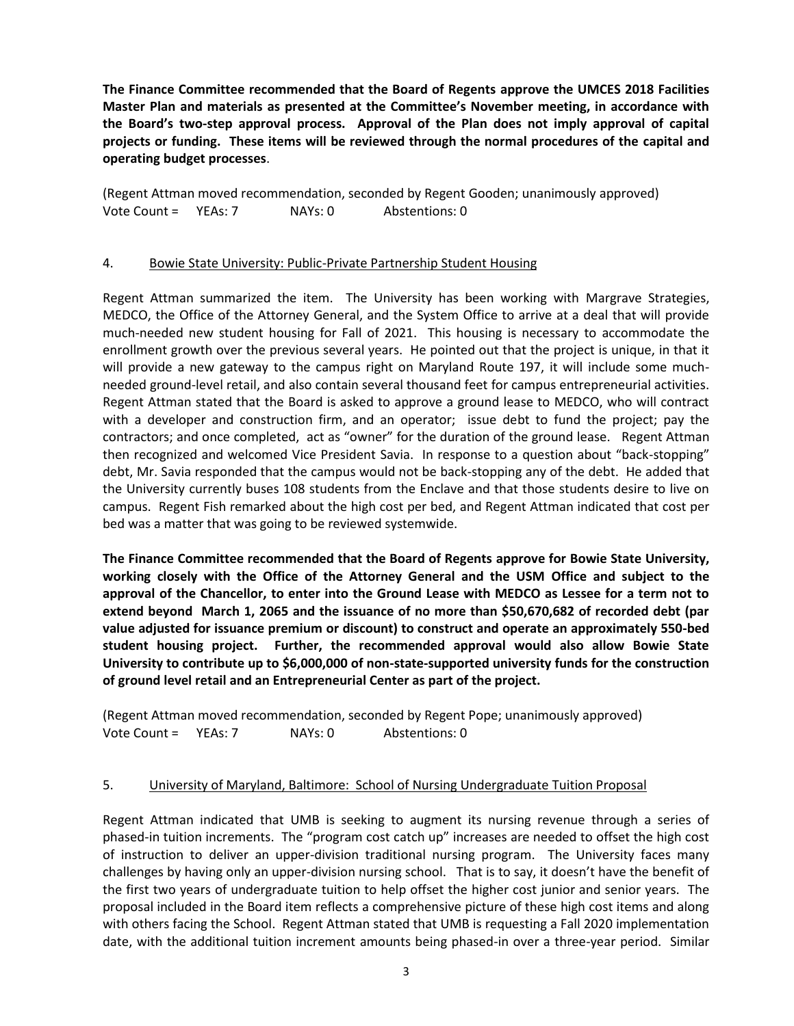**The Finance Committee recommended that the Board of Regents approve the UMCES 2018 Facilities Master Plan and materials as presented at the Committee's November meeting, in accordance with the Board's two-step approval process. Approval of the Plan does not imply approval of capital projects or funding. These items will be reviewed through the normal procedures of the capital and operating budget processes**.

(Regent Attman moved recommendation, seconded by Regent Gooden; unanimously approved) Vote Count = YEAs: 7 NAYs: 0 Abstentions: 0

#### 4. Bowie State University: Public-Private Partnership Student Housing

Regent Attman summarized the item. The University has been working with Margrave Strategies, MEDCO, the Office of the Attorney General, and the System Office to arrive at a deal that will provide much-needed new student housing for Fall of 2021. This housing is necessary to accommodate the enrollment growth over the previous several years. He pointed out that the project is unique, in that it will provide a new gateway to the campus right on Maryland Route 197, it will include some muchneeded ground-level retail, and also contain several thousand feet for campus entrepreneurial activities. Regent Attman stated that the Board is asked to approve a ground lease to MEDCO, who will contract with a developer and construction firm, and an operator; issue debt to fund the project; pay the contractors; and once completed, act as "owner" for the duration of the ground lease. Regent Attman then recognized and welcomed Vice President Savia. In response to a question about "back-stopping" debt, Mr. Savia responded that the campus would not be back-stopping any of the debt. He added that the University currently buses 108 students from the Enclave and that those students desire to live on campus. Regent Fish remarked about the high cost per bed, and Regent Attman indicated that cost per bed was a matter that was going to be reviewed systemwide.

**The Finance Committee recommended that the Board of Regents approve for Bowie State University, working closely with the Office of the Attorney General and the USM Office and subject to the approval of the Chancellor, to enter into the Ground Lease with MEDCO as Lessee for a term not to extend beyond March 1, 2065 and the issuance of no more than \$50,670,682 of recorded debt (par value adjusted for issuance premium or discount) to construct and operate an approximately 550-bed student housing project. Further, the recommended approval would also allow Bowie State University to contribute up to \$6,000,000 of non-state-supported university funds for the construction of ground level retail and an Entrepreneurial Center as part of the project.** 

(Regent Attman moved recommendation, seconded by Regent Pope; unanimously approved) Vote Count = YEAs: 7 NAYs: 0 Abstentions: 0

#### 5. University of Maryland, Baltimore: School of Nursing Undergraduate Tuition Proposal

Regent Attman indicated that UMB is seeking to augment its nursing revenue through a series of phased-in tuition increments. The "program cost catch up" increases are needed to offset the high cost of instruction to deliver an upper-division traditional nursing program. The University faces many challenges by having only an upper-division nursing school. That is to say, it doesn't have the benefit of the first two years of undergraduate tuition to help offset the higher cost junior and senior years. The proposal included in the Board item reflects a comprehensive picture of these high cost items and along with others facing the School. Regent Attman stated that UMB is requesting a Fall 2020 implementation date, with the additional tuition increment amounts being phased-in over a three-year period. Similar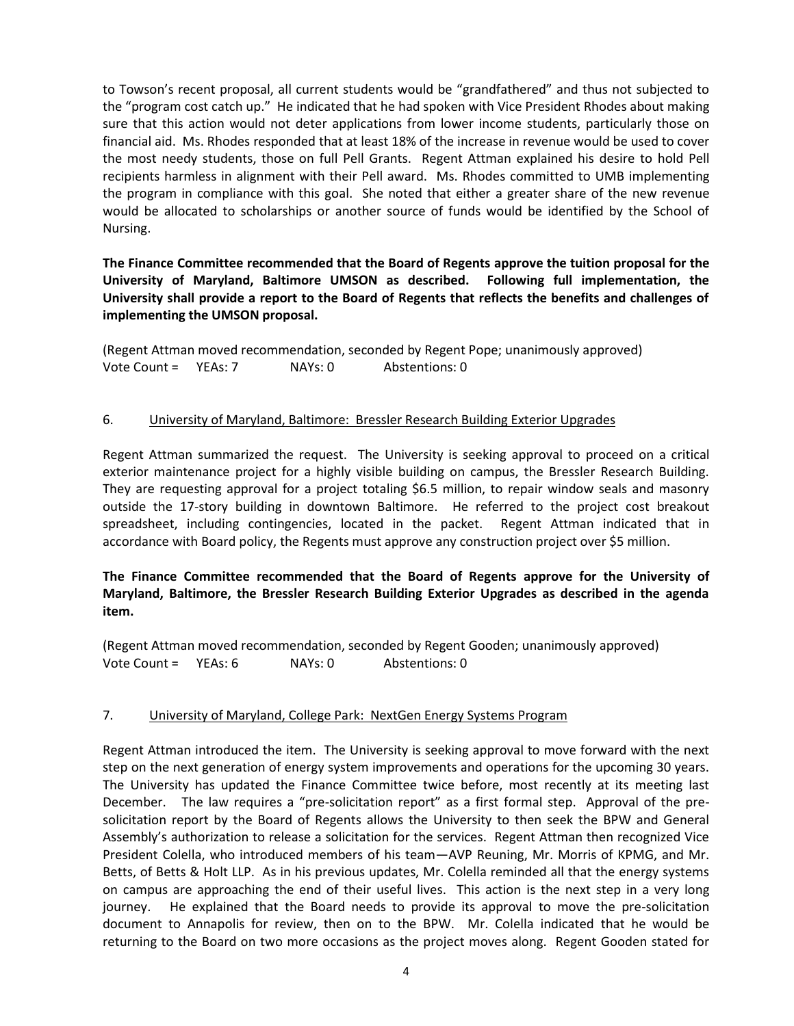to Towson's recent proposal, all current students would be "grandfathered" and thus not subjected to the "program cost catch up." He indicated that he had spoken with Vice President Rhodes about making sure that this action would not deter applications from lower income students, particularly those on financial aid. Ms. Rhodes responded that at least 18% of the increase in revenue would be used to cover the most needy students, those on full Pell Grants. Regent Attman explained his desire to hold Pell recipients harmless in alignment with their Pell award. Ms. Rhodes committed to UMB implementing the program in compliance with this goal. She noted that either a greater share of the new revenue would be allocated to scholarships or another source of funds would be identified by the School of Nursing.

**The Finance Committee recommended that the Board of Regents approve the tuition proposal for the University of Maryland, Baltimore UMSON as described. Following full implementation, the University shall provide a report to the Board of Regents that reflects the benefits and challenges of implementing the UMSON proposal.**

(Regent Attman moved recommendation, seconded by Regent Pope; unanimously approved) Vote Count = YEAs: 7 NAYs: 0 Abstentions: 0

#### 6. University of Maryland, Baltimore: Bressler Research Building Exterior Upgrades

Regent Attman summarized the request. The University is seeking approval to proceed on a critical exterior maintenance project for a highly visible building on campus, the Bressler Research Building. They are requesting approval for a project totaling \$6.5 million, to repair window seals and masonry outside the 17-story building in downtown Baltimore. He referred to the project cost breakout spreadsheet, including contingencies, located in the packet. Regent Attman indicated that in accordance with Board policy, the Regents must approve any construction project over \$5 million.

### **The Finance Committee recommended that the Board of Regents approve for the University of Maryland, Baltimore, the Bressler Research Building Exterior Upgrades as described in the agenda item.**

(Regent Attman moved recommendation, seconded by Regent Gooden; unanimously approved) Vote Count = YEAs: 6 NAYs: 0 Abstentions: 0

#### 7. University of Maryland, College Park: NextGen Energy Systems Program

Regent Attman introduced the item. The University is seeking approval to move forward with the next step on the next generation of energy system improvements and operations for the upcoming 30 years. The University has updated the Finance Committee twice before, most recently at its meeting last December. The law requires a "pre-solicitation report" as a first formal step. Approval of the presolicitation report by the Board of Regents allows the University to then seek the BPW and General Assembly's authorization to release a solicitation for the services. Regent Attman then recognized Vice President Colella, who introduced members of his team—AVP Reuning, Mr. Morris of KPMG, and Mr. Betts, of Betts & Holt LLP. As in his previous updates, Mr. Colella reminded all that the energy systems on campus are approaching the end of their useful lives. This action is the next step in a very long journey. He explained that the Board needs to provide its approval to move the pre-solicitation document to Annapolis for review, then on to the BPW. Mr. Colella indicated that he would be returning to the Board on two more occasions as the project moves along. Regent Gooden stated for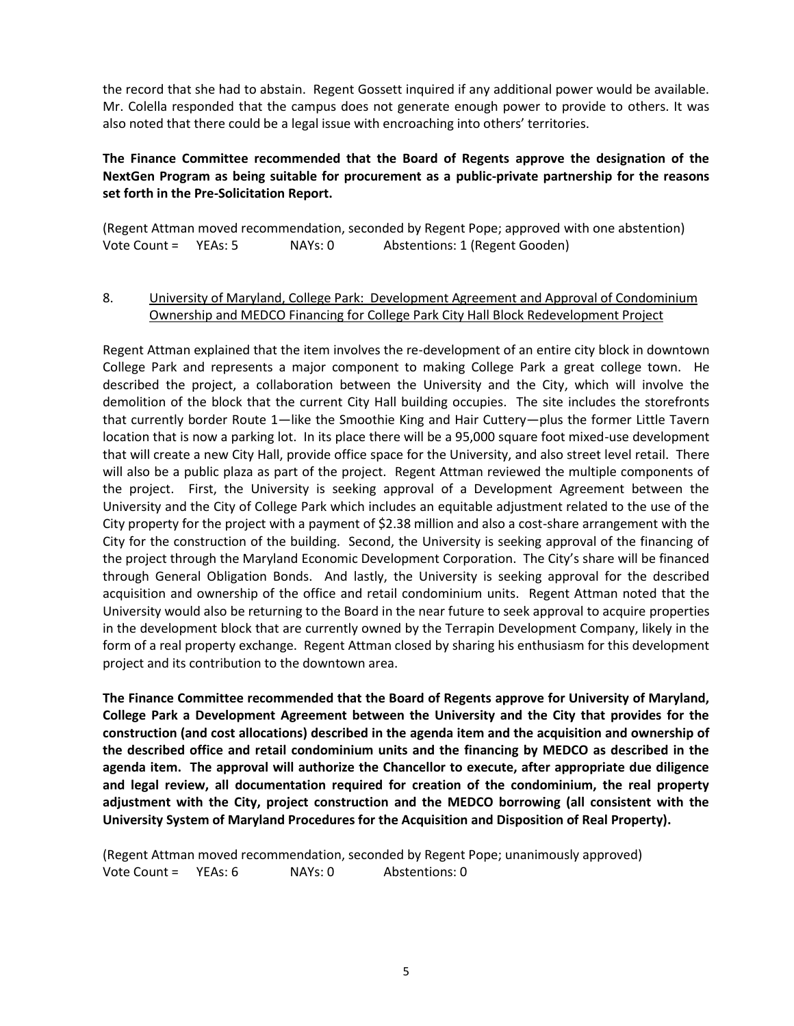the record that she had to abstain. Regent Gossett inquired if any additional power would be available. Mr. Colella responded that the campus does not generate enough power to provide to others. It was also noted that there could be a legal issue with encroaching into others' territories.

## **The Finance Committee recommended that the Board of Regents approve the designation of the NextGen Program as being suitable for procurement as a public-private partnership for the reasons set forth in the Pre-Solicitation Report.**

(Regent Attman moved recommendation, seconded by Regent Pope; approved with one abstention) Vote Count = YEAs: 5 NAYs: 0 Abstentions: 1 (Regent Gooden)

### 8. University of Maryland, College Park: Development Agreement and Approval of Condominium Ownership and MEDCO Financing for College Park City Hall Block Redevelopment Project

Regent Attman explained that the item involves the re-development of an entire city block in downtown College Park and represents a major component to making College Park a great college town. He described the project, a collaboration between the University and the City, which will involve the demolition of the block that the current City Hall building occupies. The site includes the storefronts that currently border Route 1—like the Smoothie King and Hair Cuttery—plus the former Little Tavern location that is now a parking lot. In its place there will be a 95,000 square foot mixed-use development that will create a new City Hall, provide office space for the University, and also street level retail. There will also be a public plaza as part of the project. Regent Attman reviewed the multiple components of the project. First, the University is seeking approval of a Development Agreement between the University and the City of College Park which includes an equitable adjustment related to the use of the City property for the project with a payment of \$2.38 million and also a cost-share arrangement with the City for the construction of the building. Second, the University is seeking approval of the financing of the project through the Maryland Economic Development Corporation. The City's share will be financed through General Obligation Bonds. And lastly, the University is seeking approval for the described acquisition and ownership of the office and retail condominium units. Regent Attman noted that the University would also be returning to the Board in the near future to seek approval to acquire properties in the development block that are currently owned by the Terrapin Development Company, likely in the form of a real property exchange. Regent Attman closed by sharing his enthusiasm for this development project and its contribution to the downtown area.

**The Finance Committee recommended that the Board of Regents approve for University of Maryland, College Park a Development Agreement between the University and the City that provides for the construction (and cost allocations) described in the agenda item and the acquisition and ownership of the described office and retail condominium units and the financing by MEDCO as described in the agenda item. The approval will authorize the Chancellor to execute, after appropriate due diligence and legal review, all documentation required for creation of the condominium, the real property adjustment with the City, project construction and the MEDCO borrowing (all consistent with the University System of Maryland Procedures for the Acquisition and Disposition of Real Property).**

(Regent Attman moved recommendation, seconded by Regent Pope; unanimously approved) Vote Count = YEAs: 6 NAYs: 0 Abstentions: 0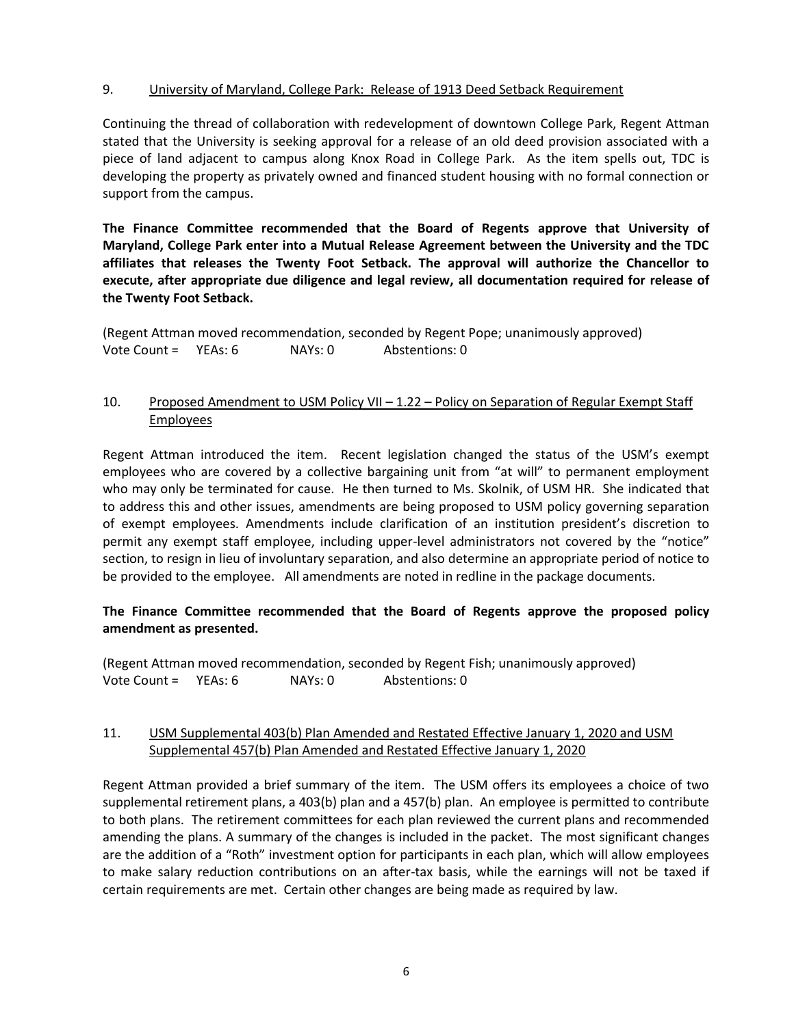### 9. University of Maryland, College Park: Release of 1913 Deed Setback Requirement

Continuing the thread of collaboration with redevelopment of downtown College Park, Regent Attman stated that the University is seeking approval for a release of an old deed provision associated with a piece of land adjacent to campus along Knox Road in College Park. As the item spells out, TDC is developing the property as privately owned and financed student housing with no formal connection or support from the campus.

**The Finance Committee recommended that the Board of Regents approve that University of Maryland, College Park enter into a Mutual Release Agreement between the University and the TDC affiliates that releases the Twenty Foot Setback. The approval will authorize the Chancellor to execute, after appropriate due diligence and legal review, all documentation required for release of the Twenty Foot Setback.**

(Regent Attman moved recommendation, seconded by Regent Pope; unanimously approved) Vote Count = YEAs: 6 NAYs: 0 Abstentions: 0

## 10. Proposed Amendment to USM Policy VII – 1.22 – Policy on Separation of Regular Exempt Staff Employees

Regent Attman introduced the item. Recent legislation changed the status of the USM's exempt employees who are covered by a collective bargaining unit from "at will" to permanent employment who may only be terminated for cause. He then turned to Ms. Skolnik, of USM HR. She indicated that to address this and other issues, amendments are being proposed to USM policy governing separation of exempt employees. Amendments include clarification of an institution president's discretion to permit any exempt staff employee, including upper-level administrators not covered by the "notice" section, to resign in lieu of involuntary separation, and also determine an appropriate period of notice to be provided to the employee. All amendments are noted in redline in the package documents.

### **The Finance Committee recommended that the Board of Regents approve the proposed policy amendment as presented.**

(Regent Attman moved recommendation, seconded by Regent Fish; unanimously approved) Vote Count = YEAs: 6 NAYs: 0 Abstentions: 0

### 11. USM Supplemental 403(b) Plan Amended and Restated Effective January 1, 2020 and USM Supplemental 457(b) Plan Amended and Restated Effective January 1, 2020

Regent Attman provided a brief summary of the item. The USM offers its employees a choice of two supplemental retirement plans, a 403(b) plan and a 457(b) plan. An employee is permitted to contribute to both plans. The retirement committees for each plan reviewed the current plans and recommended amending the plans. A summary of the changes is included in the packet. The most significant changes are the addition of a "Roth" investment option for participants in each plan, which will allow employees to make salary reduction contributions on an after-tax basis, while the earnings will not be taxed if certain requirements are met. Certain other changes are being made as required by law.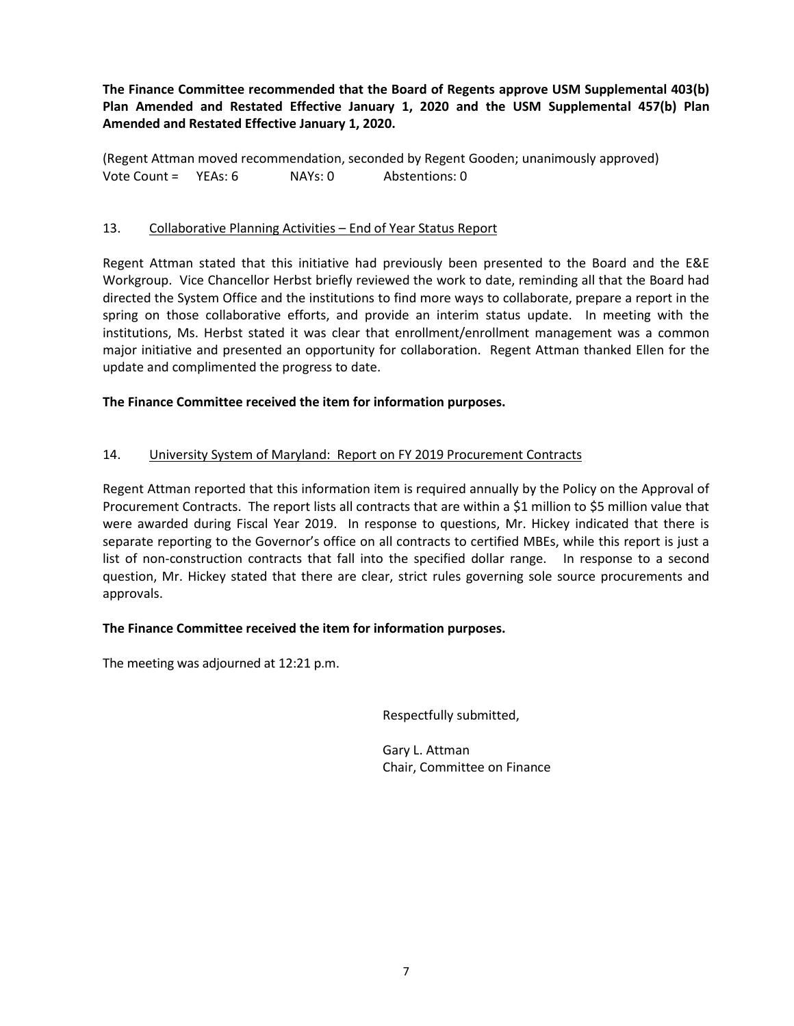**The Finance Committee recommended that the Board of Regents approve USM Supplemental 403(b) Plan Amended and Restated Effective January 1, 2020 and the USM Supplemental 457(b) Plan Amended and Restated Effective January 1, 2020.** 

(Regent Attman moved recommendation, seconded by Regent Gooden; unanimously approved) Vote Count = YEAs: 6 NAYs: 0 Abstentions: 0

### 13. Collaborative Planning Activities – End of Year Status Report

Regent Attman stated that this initiative had previously been presented to the Board and the E&E Workgroup. Vice Chancellor Herbst briefly reviewed the work to date, reminding all that the Board had directed the System Office and the institutions to find more ways to collaborate, prepare a report in the spring on those collaborative efforts, and provide an interim status update. In meeting with the institutions, Ms. Herbst stated it was clear that enrollment/enrollment management was a common major initiative and presented an opportunity for collaboration. Regent Attman thanked Ellen for the update and complimented the progress to date.

### **The Finance Committee received the item for information purposes.**

### 14. University System of Maryland: Report on FY 2019 Procurement Contracts

Regent Attman reported that this information item is required annually by the Policy on the Approval of Procurement Contracts. The report lists all contracts that are within a \$1 million to \$5 million value that were awarded during Fiscal Year 2019. In response to questions, Mr. Hickey indicated that there is separate reporting to the Governor's office on all contracts to certified MBEs, while this report is just a list of non-construction contracts that fall into the specified dollar range. In response to a second question, Mr. Hickey stated that there are clear, strict rules governing sole source procurements and approvals.

#### **The Finance Committee received the item for information purposes.**

The meeting was adjourned at 12:21 p.m.

Respectfully submitted,

Gary L. Attman Chair, Committee on Finance